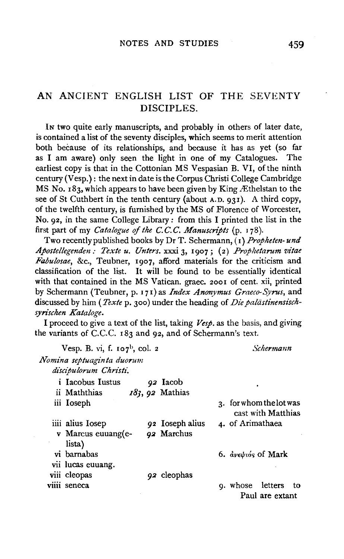## AN ANCIENT ENGLISH LIST OF THE SEVENTY DISCIPLES.

IN two quite early manuscripts, and probably in others of later date, is contained a list of the seventy disciples, which seems to merit attention both because of its relationships, and because it has as yet (so far as I am aware) only seen the light in one of my Catalogues. The earliest copy is that in the Cottonian MS Vespasian B. VI, of the ninth century (Vesp.) : the next in date is the Corpus Christi College Cambridge MS No.  $183$ , which appears to have been given by King  $\mathcal E$ thelstan to the see of St Cuthbert in the tenth century (about A.D. 931). A third copy, of the twelfth century, is furnished by the MS of Florence of Worcester, No. 92, in the same College Library: from this I printed the list in the first part of my *Catalogue of the C.C.C. Manuscripts* (p. 178).

Two recently published books by Dr T. Schermann, (1) *Propheten- und Apostellegenden : Texte u. Unters.* xxxi 3, 1907 ; ( 2) *Prophetarom vitae Fabulosae,* &c., Teubner, 1907, afford materials for the criticism and classification of the list. It will be found to be essentially identical with that contained in the MS Vatican. graec. 2001 of cent. xii, printed by Schermann (Teubner, p. 171) as *Index Anonymus Graeco-Syros,* and discussed by him (*Texte* p. 300) under the heading of *Die palästinensischsyn·schen Kataloge.* 

I proceed to give a text of the list, taking *Vesp.* as the basis, and giving the variants of C.C.C. 183 and 92, and of Schermann's text.

| Vesp. B. vi, f. $107^b$ , col. 2 | Schermann         |                                               |  |
|----------------------------------|-------------------|-----------------------------------------------|--|
| Nomina septuaginta duorum        |                   |                                               |  |
| discipulorum Christi.            |                   |                                               |  |
| <i>i</i> Iacobus Iustus          | 92 Iacob          |                                               |  |
| ii Maththias                     | $183, 92$ Mathias |                                               |  |
| iii Ioseph                       |                   | 3. for whom the lot was<br>cast with Matthias |  |
| iiii alius Iosep                 | 92 Ioseph alius   | 4. of Arimathaea                              |  |
| v Marcus euuang(e-<br>lista)     | 92 Marchus        |                                               |  |
| vi barnabas                      |                   | 6. ανεψιός of Mark                            |  |
| vii lucas euuang.                |                   |                                               |  |
| viii cleopas                     | 92 cleophas       |                                               |  |
| viiii seneca                     |                   | letters<br>q. whose<br>to<br>Paul are extant  |  |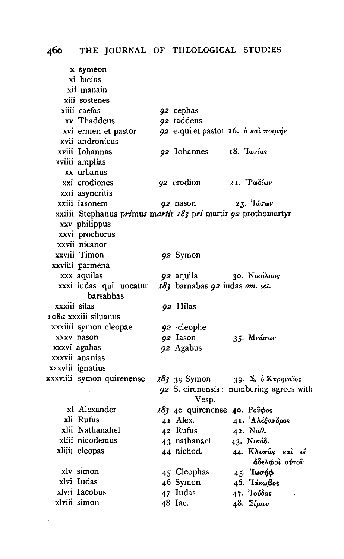x symeon xi lucius xii manain xiii sostenes xiiii caefas 92 cephas xv Thaddeus 92 taddeus xvi ermen et pastor 92 e.qui et pastor 16. δ και ποιμήν xvii andronicus xviii Iohannas 92 Iohannes 18. Iwrias xviiii amplias xx urbanus xxi erodiones 92 erodion 21. Ρωδίων xxii asyncritis xxiii iasonem 92 nason 23. Ιάσων xxiiii Stephanus primus martir  $183$  pri martir 92 prothomartyr xxv philippus xxvi prochorus xxvii nicanor xxviii Timon 92 Symon xxviiii parmena xxx aquilas 92 aquila 30. Νικόλαος xxxi iudas qui uocatur  $183$  barnabas 92 iudas om. cet. barsabbas xxxiii silas 92 Hilas 108a xxxiii siluanus xxxiiii symon cleopae 92 -cleophe xxxv nason 92 Iason 35. Μνάσων xxxvi agabas 92 Agabus xxxvii ananias xxxviii ignatius xxxviiii symon quirenense 183 39 Symon 39. Σ. δ Κυρηναΐος 92 S. cirenensis: numbering agrees with Vesp. xl Alexander 183 40 quirenense 40. Povos 41. Αλέξανδρος xli Rufus 41 Alex. xlii Nathanahel 42 Rufus 42. Na $\theta$ . xliii nicodemus 43 nathanael 43. Νικόδ. xliiii cleopas 44 nichod. 44. Kλοπάς και οί άδελφοί αύτου xly simon 45 Cleophas 45. Ιωσήφ xlvi Iudas 46. Iákußos 46 Symon xlvii Iacobus 47 Iudas 47. Ιούδας xlviii simon 48 Iac.  $48. \Sigma \omega \omega$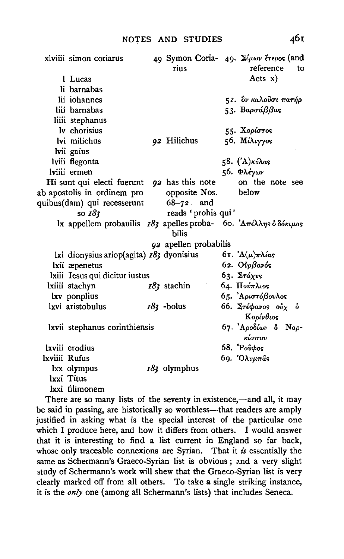|               | xlviiii simon coriarus                                          | rius                  | 49 Symon Coria- 49. Σίμων έτερος (and<br>reference<br>to |
|---------------|-----------------------------------------------------------------|-----------------------|----------------------------------------------------------|
|               | 1 Lucas                                                         |                       | Acts x)                                                  |
|               | li barnabas                                                     |                       |                                                          |
|               | lii iohannes                                                    |                       | 52. δν καλούσι πατήρ                                     |
|               | liii barnabas                                                   |                       | 53. Βαρσάββας                                            |
|               | liiii stephanus                                                 |                       |                                                          |
|               | lv chorisius                                                    |                       | 55. Xapíoros                                             |
|               | lvi milichus                                                    | 92 Hilichus           | 56. Μίλιγγος                                             |
|               | lvii gaius                                                      |                       |                                                          |
|               | lviii flegonta                                                  |                       | 58. ('A)κύλας                                            |
|               | lviiii ermen                                                    |                       | 56. Φλέγων                                               |
|               | Hi sunt qui electi fuerunt                                      | 92 has this note      | on the note see                                          |
|               | ab apostolis in ordinem pro                                     | opposite Nos.         | below                                                    |
|               | quibus(dam) qui recesserunt                                     | 68–72 and             |                                                          |
|               | so $183$                                                        | reads 'prohis qui'    |                                                          |
|               | lx appellem probauilis 183 apelles proba- 60. 'Απέλλης δδόκιμος | <b>bilis</b>          |                                                          |
|               |                                                                 | 92 apellen probabilis |                                                          |
|               | lxi dionysius ariop(agita) 183 dyonisius                        |                       | 6τ. ' $A(\mu)\pi\lambda$ ίας                             |
|               | lxii æpenetus                                                   |                       | 62. Ούρβανός                                             |
|               | lxiii Iesus qui dicitur iustus                                  |                       | $63.$ Στάχυς                                             |
|               | lxiiii stachyn                                                  | $183$ stachin         | 64. Πούπλιος                                             |
|               | lxv ponplius                                                    |                       | 65. Αριστόβουλος                                         |
|               | lxvi aristobulus                                                | $183$ -bolus          | 66. Στέφανος ούχ δ<br>Κορίνθιος                          |
|               | lxvii stephanus corinthiensis                                   |                       | 67. Αροδίων δ Ναρ-<br>κίσσου                             |
|               | lxviii erodius                                                  |                       | 68. Ρούφος                                               |
| Ixviiii Rufus |                                                                 |                       | 69. 'Ολυμπας                                             |
|               | lxx olympus                                                     | 183 olymphus          |                                                          |
|               | lxxi Titus                                                      |                       |                                                          |
|               | lxxi filimonem                                                  |                       |                                                          |

There are so many lists of the seventy in existence,—and all, it may be said in passing, are historically so worthless-that readers are amply justified in asking what is the special interest of the particular one which I produce here, and how it differs from others. I would answer that it is interesting to find a list current in England so far back, whose only traceable connexions are Syrian. That it is essentially the same as Schermann's Graeco-Syrian list is obvious; and a very slight study of Schermann's work will shew that the Graeco-Syrian list is very clearly marked off from all others. To take a single striking instance, it is the only one (among all Schermann's lists) that includes Seneca.

461